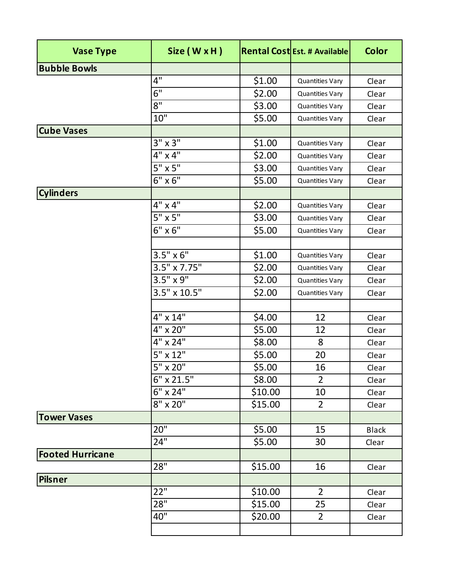| <b>Vase Type</b>        | Size (W x H)          |         | <b>Rental Cost Est. # Available</b> | <b>Color</b> |
|-------------------------|-----------------------|---------|-------------------------------------|--------------|
| <b>Bubble Bowls</b>     |                       |         |                                     |              |
|                         | 4"                    | \$1.00  | <b>Quantities Vary</b>              | Clear        |
|                         | 6"                    | \$2.00  | <b>Quantities Vary</b>              | Clear        |
|                         | 8"                    | \$3.00  | <b>Quantities Vary</b>              | Clear        |
|                         | 10"                   | \$5.00  | <b>Quantities Vary</b>              | Clear        |
| <b>Cube Vases</b>       |                       |         |                                     |              |
|                         | $3" \times 3"$        | \$1.00  | <b>Quantities Vary</b>              | Clear        |
|                         | $4" \times 4"$        | \$2.00  | <b>Quantities Vary</b>              | Clear        |
|                         | $5" \times 5"$        | \$3.00  | <b>Quantities Vary</b>              | Clear        |
|                         | $6'' \times 6''$      | \$5.00  | <b>Quantities Vary</b>              | Clear        |
| <b>Cylinders</b>        |                       |         |                                     |              |
|                         | $4" \times 4"$        | \$2.00  | <b>Quantities Vary</b>              | Clear        |
|                         | $5" \times 5"$        | \$3.00  | <b>Quantities Vary</b>              | Clear        |
|                         | $6'' \times 6'''$     | \$5.00  | <b>Quantities Vary</b>              | Clear        |
|                         |                       |         |                                     |              |
|                         | $3.5" \times 6"$      | \$1.00  | <b>Quantities Vary</b>              | Clear        |
|                         | $3.5'' \times 7.75''$ | \$2.00  | <b>Quantities Vary</b>              | Clear        |
|                         | $3.5" \times 9"$      | \$2.00  | <b>Quantities Vary</b>              | Clear        |
|                         | $3.5" \times 10.5"$   | \$2.00  | <b>Quantities Vary</b>              | Clear        |
|                         |                       |         |                                     |              |
|                         | 4" x 14"              | \$4.00  | 12                                  | Clear        |
|                         | $4" \times 20"$       | \$5.00  | 12                                  | Clear        |
|                         | 4" x 24"              | \$8.00  | 8                                   | Clear        |
|                         | $5" \times 12"$       | \$5.00  | 20                                  | Clear        |
|                         | 5" x 20"              | \$5.00  | 16                                  | Clear        |
|                         | 6" x 21.5"            | \$8.00  | $\overline{2}$                      | Clear        |
|                         | $6'' \times 24''$     | \$10.00 | 10                                  | Clear        |
|                         | $8'' \times 20''$     | \$15.00 | $\overline{2}$                      | Clear        |
| <b>Tower Vases</b>      |                       |         |                                     |              |
|                         | 20"                   | \$5.00  | 15                                  | <b>Black</b> |
|                         | 24"                   | \$5.00  | 30                                  | Clear        |
| <b>Footed Hurricane</b> |                       |         |                                     |              |
|                         | 28"                   | \$15.00 | 16                                  | Clear        |
| <b>Pilsner</b>          |                       |         |                                     |              |
|                         | 22"                   | \$10.00 | $\overline{2}$                      | Clear        |
|                         | 28"                   | \$15.00 | 25                                  | Clear        |
|                         | 40"                   | \$20.00 | $\overline{2}$                      | Clear        |
|                         |                       |         |                                     |              |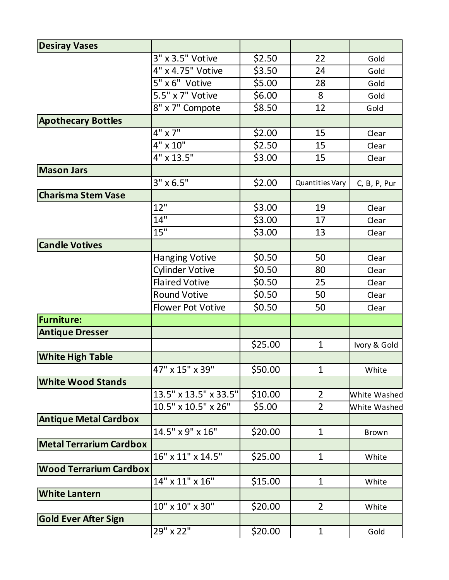| <b>Desiray Vases</b>           |                          |         |                 |              |
|--------------------------------|--------------------------|---------|-----------------|--------------|
|                                | 3" x 3.5" Votive         | \$2.50  | 22              | Gold         |
|                                | 4" x 4.75" Votive        | \$3.50  | 24              | Gold         |
|                                | 5" x 6" Votive           | \$5.00  | 28              | Gold         |
|                                | 5.5" x 7" Votive         | \$6.00  | 8               | Gold         |
|                                | 8" x 7" Compote          | \$8.50  | 12              | Gold         |
| <b>Apothecary Bottles</b>      |                          |         |                 |              |
|                                | $4" \times 7"$           | \$2.00  | 15              | Clear        |
|                                | 4" x 10"                 | \$2.50  | 15              | Clear        |
|                                | 4" x 13.5"               | \$3.00  | 15              | Clear        |
| <b>Mason Jars</b>              |                          |         |                 |              |
|                                | $3'' \times 6.5''$       | \$2.00  | Quantities Vary | C, B, P, Pur |
| <b>Charisma Stem Vase</b>      |                          |         |                 |              |
|                                | 12"                      | \$3.00  | 19              | Clear        |
|                                | 14"                      | \$3.00  | 17              | Clear        |
|                                | 15"                      | \$3.00  | 13              | Clear        |
| <b>Candle Votives</b>          |                          |         |                 |              |
|                                | <b>Hanging Votive</b>    | \$0.50  | 50              | Clear        |
|                                | <b>Cylinder Votive</b>   | \$0.50  | 80              | Clear        |
|                                | <b>Flaired Votive</b>    | \$0.50  | 25              | Clear        |
|                                | <b>Round Votive</b>      | \$0.50  | 50              | Clear        |
|                                | <b>Flower Pot Votive</b> | \$0.50  | 50              | Clear        |
| <b>Furniture:</b>              |                          |         |                 |              |
| <b>Antique Dresser</b>         |                          |         |                 |              |
|                                |                          | \$25.00 | $\mathbf{1}$    | Ivory & Gold |
| <b>White High Table</b>        |                          |         |                 |              |
|                                | 47" x 15" x 39"          | \$50.00 | 1               | White        |
| <b>White Wood Stands</b>       |                          |         |                 |              |
|                                | 13.5" x 13.5" x 33.5"    | \$10.00 | 2               | White Washed |
|                                | 10.5" x 10.5" x 26"      | \$5.00  | $\overline{2}$  | White Washed |
| <b>Antique Metal Cardbox</b>   |                          |         |                 |              |
|                                | 14.5" x 9" x 16"         | \$20.00 | $\mathbf{1}$    | <b>Brown</b> |
| <b>Metal Terrarium Cardbox</b> |                          |         |                 |              |
|                                | 16" x 11" x 14.5"        | \$25.00 | $\mathbf{1}$    | White        |
| <b>Wood Terrarium Cardbox</b>  |                          |         |                 |              |
|                                | 14" x 11" x 16"          | \$15.00 | $\mathbf 1$     | White        |
| <b>White Lantern</b>           |                          |         |                 |              |
|                                | 10" x 10" x 30"          | \$20.00 | $\overline{2}$  | White        |
| <b>Gold Ever After Sign</b>    |                          |         |                 |              |
|                                | 29" x 22"                | \$20.00 | $\mathbf{1}$    | Gold         |